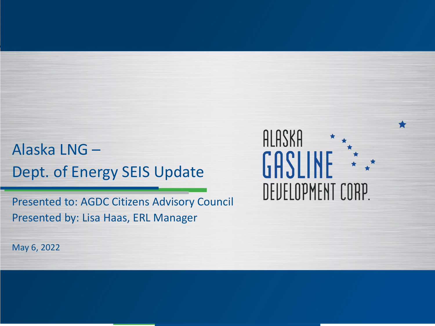### Alaska LNG – Dept. of Energy SEIS Update

Presented to: AGDC Citizens Advisory Council Presented by: Lisa Haas, ERL Manager

ALASKA GASLINE DEUELOPMENT CORP.

May 6, 2022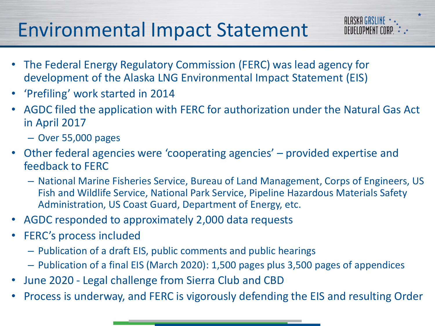## Environmental Impact Statement

- The Federal Energy Regulatory Commission (FERC) was lead agency for development of the Alaska LNG Environmental Impact Statement (EIS)
- 'Prefiling' work started in 2014
- AGDC filed the application with FERC for authorization under the Natural Gas Act in April 2017

ALASKA GASLINE \*\*\* DEVELOPMENT CORP.  $\stackrel{*}{\vphantom{p}}\cdot\stackrel{*}{\vphantom{p}}\cdot\stackrel{*}{\vphantom{p}}\cdot$ 

- Over 55,000 pages
- Other federal agencies were 'cooperating agencies' provided expertise and feedback to FERC
	- National Marine Fisheries Service, Bureau of Land Management, Corps of Engineers, US Fish and Wildlife Service, National Park Service, Pipeline Hazardous Materials Safety Administration, US Coast Guard, Department of Energy, etc.
- AGDC responded to approximately 2,000 data requests
- FERC's process included
	- Publication of a draft EIS, public comments and public hearings
	- Publication of a final EIS (March 2020): 1,500 pages plus 3,500 pages of appendices
- June 2020 Legal challenge from Sierra Club and CBD
- Process is underway, and FERC is vigorously defending the EIS and resulting Order

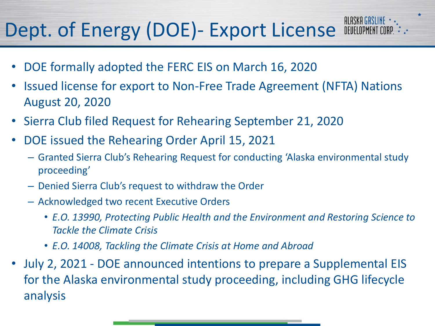## **Dept. of Energy (DOE)- Export License FILASKA GASLINE 1.**

- DOE formally adopted the FERC EIS on March 16, 2020
- Issued license for export to Non-Free Trade Agreement (NFTA) Nations August 20, 2020
- Sierra Club filed Request for Rehearing September 21, 2020
- DOE issued the Rehearing Order April 15, 2021
	- Granted Sierra Club's Rehearing Request for conducting 'Alaska environmental study proceeding'
	- Denied Sierra Club's request to withdraw the Order
	- Acknowledged two recent Executive Orders
		- *E.O. 13990, Protecting Public Health and the Environment and Restoring Science to Tackle the Climate Crisis*
		- *E.O. 14008, Tackling the Climate Crisis at Home and Abroad*
- July 2, 2021 DOE announced intentions to prepare a Supplemental EIS for the Alaska environmental study proceeding, including GHG lifecycle analysis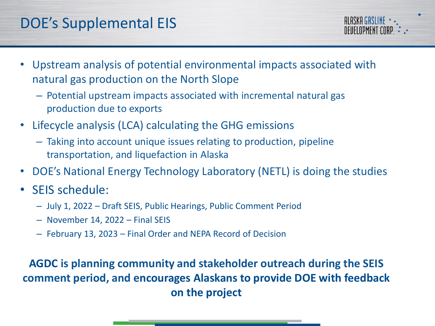• Upstream analysis of potential environmental impacts associated with natural gas production on the North Slope

**ALASKA GASLINE** NFIIFI NPMFNT LUB

- Potential upstream impacts associated with incremental natural gas production due to exports
- Lifecycle analysis (LCA) calculating the GHG emissions
	- Taking into account unique issues relating to production, pipeline transportation, and liquefaction in Alaska
- DOE's National Energy Technology Laboratory (NETL) is doing the studies
- SEIS schedule:
	- July 1, 2022 Draft SEIS, Public Hearings, Public Comment Period
	- November 14, 2022 Final SEIS
	- February 13, 2023 Final Order and NEPA Record of Decision

#### **AGDC is planning community and stakeholder outreach during the SEIS comment period, and encourages Alaskans to provide DOE with feedback on the project**